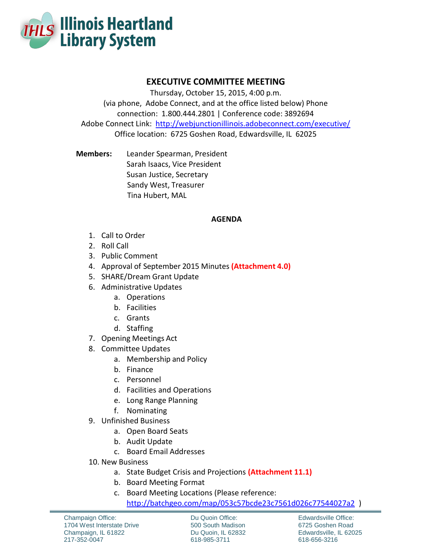

## **EXECUTIVE COMMITTEE MEETING**

Thursday, October 15, 2015, 4:00 p.m. (via phone, Adobe Connect, and at the office listed below) Phone connection: 1.800.444.2801 | Conference code: 3892694 Adobe Connect Link: http://webjunctionillinois.adobeconnect.com/executive/ Office location: 6725 Goshen Road, Edwardsville, IL 62025

**Members:** Leander Spearman, President Sarah Isaacs, Vice President Susan Justice, Secretary Sandy West, Treasurer Tina Hubert, MAL

## **AGENDA**

- 1. Call to Order
- 2. Roll Call
- 3. Public Comment
- 4. Approval of September 2015 Minutes **(Attachment 4.0)**
- 5. SHARE/Dream Grant Update
- 6. Administrative Updates
	- a. Operations
	- b. Facilities
	- c. Grants
	- d. Staffing
- 7. Opening Meetings Act
- 8. Committee Updates
	- a. Membership and Policy
	- b. Finance
	- c. Personnel
	- d. Facilities and Operations
	- e. Long Range Planning
	- f. Nominating
- 9. Unfinished Business
	- a. Open Board Seats
	- b. Audit Update
	- c. Board Email Addresses
- 10. New Business
	- a. State Budget Crisis and Projections **(Attachment 11.1)**
	- b. Board Meeting Format
	- c. Board Meeting Locations (Please reference:

<http://batchgeo.com/map/053c57bcde23c7561d026c77544027a2>)